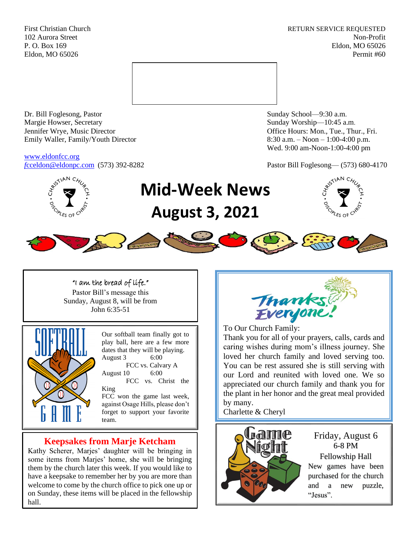First Christian Church **RETURN SERVICE REQUESTED** 102 Aurora Street Non-Profit P. O. Box 169 Eldon, MO 65026 Eldon, MO 65026 Permit #60



Dr. Bill Foglesong, Pastor Sunday School—9:30 a.m. Margie Howser, Secretary Sunday Worship—10:45 a.m. Jennifer Wrye, Music Director Office Hours: Mon., Tue., Thur., Fri. Emily Waller, Family/Youth Director 8:30 a.m. – Noon – 1:00-4:00 p.m.

[www.eldonfcc.org](http://www.eldonfcc.org/)

Wed. 9:00 am-Noon-1:00-4:00 pm

*f*[cceldon@eldonpc.com](mailto:fcceldon@eldonpc.com) (573) 392-8282 Pastor Bill Foglesong— (573) 680-4170



# **Mid-Week News August 3, 2021**





"I am the bread of life." Pastor Bill's message this Sunday, August 8, will be from John 6:35-51

 $\overline{a}$ 



Our softball team finally got to play ball, here are a few more dates that they will be playing. August 3 6:00 FCC vs. Calvary A August 10 6:00 FCC vs. Christ the

King FCC won the game last week, against Osage Hills, please don't forget to support your favorite team.

## **Keepsakes from Marje Ketcham**

Kathy Scherer, Marjes' daughter will be bringing in some items from Marjes' home, she will be bringing them by the church later this week. If you would like to have a keepsake to remember her by you are more than welcome to come by the church office to pick one up or on Sunday, these items will be placed in the fellowship hall.



To Our Church Family:

Thank you for all of your prayers, calls, cards and caring wishes during mom's illness journey. She loved her church family and loved serving too. You can be rest assured she is still serving with our Lord and reunited with loved one. We so appreciated our church family and thank you for the plant in her honor and the great meal provided by many.

Charlette & Cheryl



Friday, August 6 6-8 PM Fellowship Hall New games have been purchased for the church and a new puzzle, "Jesus".